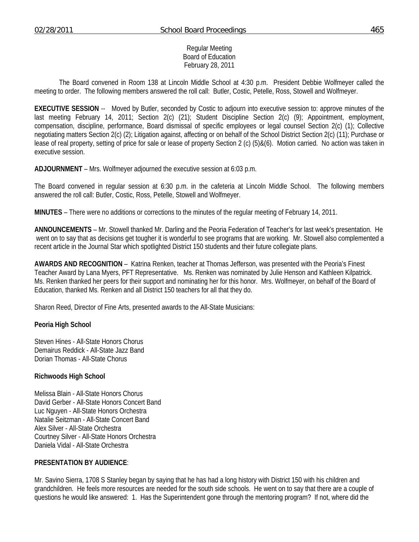### Regular Meeting Board of Education February 28, 2011

 The Board convened in Room 138 at Lincoln Middle School at 4:30 p.m. President Debbie Wolfmeyer called the meeting to order. The following members answered the roll call: Butler, Costic, Petelle, Ross, Stowell and Wolfmeyer.

**EXECUTIVE SESSION** -- Moved by Butler, seconded by Costic to adjourn into executive session to: approve minutes of the last meeting February 14, 2011; Section 2(c) (21); Student Discipline Section 2(c) (9); Appointment, employment, compensation, discipline, performance, Board dismissal of specific employees or legal counsel Section 2(c) (1); Collective negotiating matters Section 2(c) (2); Litigation against, affecting or on behalf of the School District Section 2(c) (11); Purchase or lease of real property, setting of price for sale or lease of property Section 2 (c) (5)&(6). Motion carried. No action was taken in executive session.

**ADJOURNMENT** – Mrs. Wolfmeyer adjourned the executive session at 6:03 p.m.

The Board convened in regular session at 6:30 p.m. in the cafeteria at Lincoln Middle School. The following members answered the roll call: Butler, Costic, Ross, Petelle, Stowell and Wolfmeyer.

**MINUTES** – There were no additions or corrections to the minutes of the regular meeting of February 14, 2011.

**ANNOUNCEMENTS** – Mr. Stowell thanked Mr. Darling and the Peoria Federation of Teacher's for last week's presentation. He went on to say that as decisions get tougher it is wonderful to see programs that are working. Mr. Stowell also complemented a recent article in the Journal Star which spotlighted District 150 students and their future collegiate plans.

**AWARDS AND RECOGNITION** – Katrina Renken, teacher at Thomas Jefferson, was presented with the Peoria's Finest Teacher Award by Lana Myers, PFT Representative. Ms. Renken was nominated by Julie Henson and Kathleen Kilpatrick. Ms. Renken thanked her peers for their support and nominating her for this honor. Mrs. Wolfmeyer, on behalf of the Board of Education, thanked Ms. Renken and all District 150 teachers for all that they do.

Sharon Reed, Director of Fine Arts, presented awards to the All-State Musicians:

#### **Peoria High School**

Steven Hines - All-State Honors Chorus Demairus Reddick - All-State Jazz Band Dorian Thomas - All-State Chorus

### **Richwoods High School**

Melissa Blain - All-State Honors Chorus David Gerber - All-State Honors Concert Band Luc Nguyen - All-State Honors Orchestra Natalie Seitzman - All-State Concert Band Alex Silver - All-State Orchestra Courtney Silver - All-State Honors Orchestra Daniela Vidal - All-State Orchestra

#### **PRESENTATION BY AUDIENCE**:

Mr. Savino Sierra, 1708 S Stanley began by saying that he has had a long history with District 150 with his children and grandchildren. He feels more resources are needed for the south side schools. He went on to say that there are a couple of questions he would like answered: 1. Has the Superintendent gone through the mentoring program? If not, where did the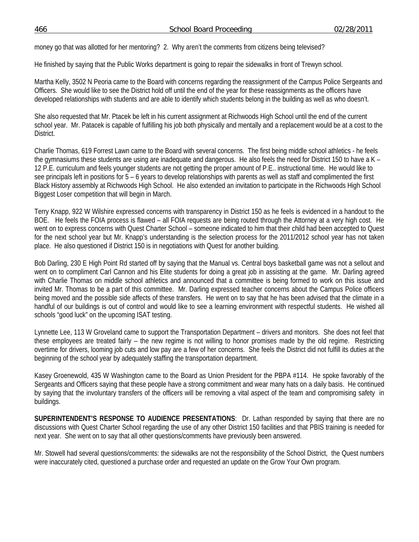money go that was allotted for her mentoring? 2. Why aren't the comments from citizens being televised?

He finished by saying that the Public Works department is going to repair the sidewalks in front of Trewyn school.

Martha Kelly, 3502 N Peoria came to the Board with concerns regarding the reassignment of the Campus Police Sergeants and Officers. She would like to see the District hold off until the end of the year for these reassignments as the officers have developed relationships with students and are able to identify which students belong in the building as well as who doesn't.

She also requested that Mr. Ptacek be left in his current assignment at Richwoods High School until the end of the current school year. Mr. Patacek is capable of fulfilling his job both physically and mentally and a replacement would be at a cost to the District.

Charlie Thomas, 619 Forrest Lawn came to the Board with several concerns. The first being middle school athletics - he feels the gymnasiums these students are using are inadequate and dangerous. He also feels the need for District 150 to have a K – 12 P.E. curriculum and feels younger students are not getting the proper amount of P.E.. instructional time. He would like to see principals left in positions for 5 – 6 years to develop relationships with parents as well as staff and complimented the first Black History assembly at Richwoods High School. He also extended an invitation to participate in the Richwoods High School Biggest Loser competition that will begin in March.

Terry Knapp, 922 W Wilshire expressed concerns with transparency in District 150 as he feels is evidenced in a handout to the BOE. He feels the FOIA process is flawed – all FOIA requests are being routed through the Attorney at a very high cost. He went on to express concerns with Quest Charter School – someone indicated to him that their child had been accepted to Quest for the next school year but Mr. Knapp's understanding is the selection process for the 2011/2012 school year has not taken place. He also questioned if District 150 is in negotiations with Quest for another building.

Bob Darling, 230 E High Point Rd started off by saying that the Manual vs. Central boys basketball game was not a sellout and went on to compliment Carl Cannon and his Elite students for doing a great job in assisting at the game. Mr. Darling agreed with Charlie Thomas on middle school athletics and announced that a committee is being formed to work on this issue and invited Mr. Thomas to be a part of this committee. Mr. Darling expressed teacher concerns about the Campus Police officers being moved and the possible side affects of these transfers. He went on to say that he has been advised that the climate in a handful of our buildings is out of control and would like to see a learning environment with respectful students. He wished all schools "good luck" on the upcoming ISAT testing.

Lynnette Lee, 113 W Groveland came to support the Transportation Department – drivers and monitors. She does not feel that these employees are treated fairly – the new regime is not willing to honor promises made by the old regime. Restricting overtime for drivers, looming job cuts and low pay are a few of her concerns. She feels the District did not fulfill its duties at the beginning of the school year by adequately staffing the transportation department.

Kasey Groenewold, 435 W Washington came to the Board as Union President for the PBPA #114. He spoke favorably of the Sergeants and Officers saying that these people have a strong commitment and wear many hats on a daily basis. He continued by saying that the involuntary transfers of the officers will be removing a vital aspect of the team and compromising safety in buildings.

**SUPERINTENDENT'S RESPONSE TO AUDIENCE PRESENTATIONS**: Dr. Lathan responded by saying that there are no discussions with Quest Charter School regarding the use of any other District 150 facilities and that PBIS training is needed for next year. She went on to say that all other questions/comments have previously been answered.

Mr. Stowell had several questions/comments: the sidewalks are not the responsibility of the School District, the Quest numbers were inaccurately cited, questioned a purchase order and requested an update on the Grow Your Own program.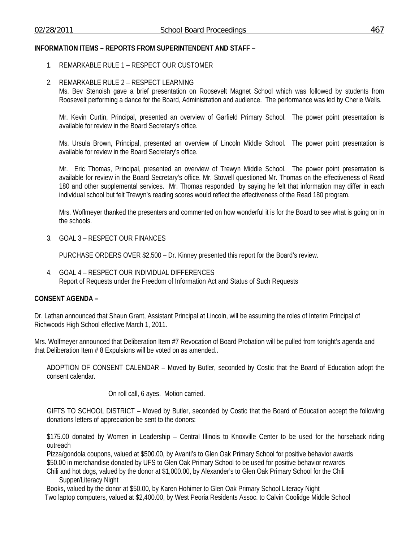## **INFORMATION ITEMS – REPORTS FROM SUPERINTENDENT AND STAFF** –

- 1. REMARKABLE RULE 1 RESPECT OUR CUSTOMER
- 2. REMARKABLE RULE 2 RESPECT LEARNING

Ms. Bev Stenoish gave a brief presentation on Roosevelt Magnet School which was followed by students from Roosevelt performing a dance for the Board, Administration and audience. The performance was led by Cherie Wells.

Mr. Kevin Curtin, Principal, presented an overview of Garfield Primary School. The power point presentation is available for review in the Board Secretary's office.

Ms. Ursula Brown, Principal, presented an overview of Lincoln Middle School. The power point presentation is available for review in the Board Secretary's office.

Mr. Eric Thomas, Principal, presented an overview of Trewyn Middle School. The power point presentation is available for review in the Board Secretary's office. Mr. Stowell questioned Mr. Thomas on the effectiveness of Read 180 and other supplemental services. Mr. Thomas responded by saying he felt that information may differ in each individual school but felt Trewyn's reading scores would reflect the effectiveness of the Read 180 program.

Mrs. Woflmeyer thanked the presenters and commented on how wonderful it is for the Board to see what is going on in the schools.

3. GOAL 3 – RESPECT OUR FINANCES

PURCHASE ORDERS OVER \$2,500 – Dr. Kinney presented this report for the Board's review.

4. GOAL 4 – RESPECT OUR INDIVIDUAL DIFFERENCES Report of Requests under the Freedom of Information Act and Status of Such Requests

# **CONSENT AGENDA –**

Dr. Lathan announced that Shaun Grant, Assistant Principal at Lincoln, will be assuming the roles of Interim Principal of Richwoods High School effective March 1, 2011.

Mrs. Wolfmeyer announced that Deliberation Item #7 Revocation of Board Probation will be pulled from tonight's agenda and that Deliberation Item # 8 Expulsions will be voted on as amended..

ADOPTION OF CONSENT CALENDAR – Moved by Butler, seconded by Costic that the Board of Education adopt the consent calendar.

On roll call, 6 ayes. Motion carried.

GIFTS TO SCHOOL DISTRICT – Moved by Butler, seconded by Costic that the Board of Education accept the following donations letters of appreciation be sent to the donors:

\$175.00 donated by Women in Leadership – Central Illinois to Knoxville Center to be used for the horseback riding outreach

Pizza/gondola coupons, valued at \$500.00, by Avanti's to Glen Oak Primary School for positive behavior awards \$50.00 in merchandise donated by UFS to Glen Oak Primary School to be used for positive behavior rewards Chili and hot dogs, valued by the donor at \$1,000.00, by Alexander's to Glen Oak Primary School for the Chili

Supper/Literacy Night

 Books, valued by the donor at \$50.00, by Karen Hohimer to Glen Oak Primary School Literacy Night Two laptop computers, valued at \$2,400.00, by West Peoria Residents Assoc. to Calvin Coolidge Middle School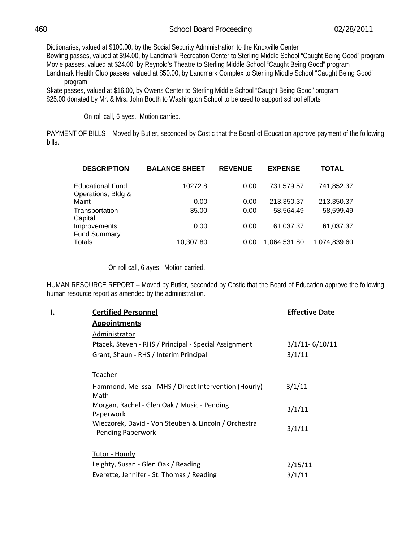Dictionaries, valued at \$100.00, by the Social Security Administration to the Knoxville Center Bowling passes, valued at \$94.00, by Landmark Recreation Center to Sterling Middle School "Caught Being Good" program Movie passes, valued at \$24.00, by Reynold's Theatre to Sterling Middle School "Caught Being Good" program Landmark Health Club passes, valued at \$50.00, by Landmark Complex to Sterling Middle School "Caught Being Good" program

 Skate passes, valued at \$16.00, by Owens Center to Sterling Middle School "Caught Being Good" program \$25.00 donated by Mr. & Mrs. John Booth to Washington School to be used to support school efforts

On roll call, 6 ayes. Motion carried.

PAYMENT OF BILLS – Moved by Butler, seconded by Costic that the Board of Education approve payment of the following bills.

| <b>DESCRIPTION</b>                            | <b>BALANCE SHEET</b> | <b>REVENUE</b> | <b>EXPENSE</b> | <b>TOTAL</b> |
|-----------------------------------------------|----------------------|----------------|----------------|--------------|
| <b>Educational Fund</b><br>Operations, Bldg & | 10272.8              | 0.00           | 731,579.57     | 741,852.37   |
| Maint                                         | 0.00                 | 0.00           | 213,350.37     | 213.350.37   |
| Transportation<br>Capital                     | 35.00                | 0.00           | 58,564.49      | 58,599.49    |
| Improvements<br><b>Fund Summary</b>           | 0.00                 | 0.00           | 61,037.37      | 61,037.37    |
| Totals                                        | 10,307.80            | 0.00           | 1,064,531.80   | 1,074,839.60 |

On roll call, 6 ayes. Motion carried.

HUMAN RESOURCE REPORT – Moved by Butler, seconded by Costic that the Board of Education approve the following human resource report as amended by the administration.

| ı. | <b>Certified Personnel</b>                                                  | <b>Effective Date</b> |
|----|-----------------------------------------------------------------------------|-----------------------|
|    | <b>Appointments</b>                                                         |                       |
|    | Administrator                                                               |                       |
|    | Ptacek, Steven - RHS / Principal - Special Assignment                       | $3/1/11 - 6/10/11$    |
|    | Grant, Shaun - RHS / Interim Principal                                      | 3/1/11                |
|    | Teacher                                                                     |                       |
|    | Hammond, Melissa - MHS / Direct Intervention (Hourly)                       | 3/1/11                |
|    | Math                                                                        |                       |
|    | Morgan, Rachel - Glen Oak / Music - Pending<br>Paperwork                    | 3/1/11                |
|    | Wieczorek, David - Von Steuben & Lincoln / Orchestra<br>- Pending Paperwork | 3/1/11                |
|    | Tutor - Hourly                                                              |                       |
|    | Leighty, Susan - Glen Oak / Reading                                         | 2/15/11               |
|    | Everette, Jennifer - St. Thomas / Reading                                   | 3/1/11                |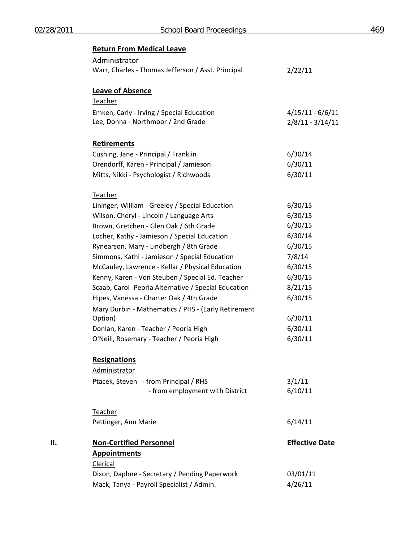|     | <b>Return From Medical Leave</b>                      |                       |
|-----|-------------------------------------------------------|-----------------------|
|     | Administrator                                         |                       |
|     | Warr, Charles - Thomas Jefferson / Asst. Principal    | 2/22/11               |
|     | <b>Leave of Absence</b>                               |                       |
|     | Teacher                                               |                       |
|     | Emken, Carly - Irving / Special Education             | $4/15/11 - 6/6/11$    |
|     | Lee, Donna - Northmoor / 2nd Grade                    | $2/8/11 - 3/14/11$    |
|     | <b>Retirements</b>                                    |                       |
|     | Cushing, Jane - Principal / Franklin                  | 6/30/14               |
|     | Orendorff, Karen - Principal / Jamieson               | 6/30/11               |
|     | Mitts, Nikki - Psychologist / Richwoods               | 6/30/11               |
|     | Teacher                                               |                       |
|     | Lininger, William - Greeley / Special Education       | 6/30/15               |
|     | Wilson, Cheryl - Lincoln / Language Arts              | 6/30/15               |
|     | Brown, Gretchen - Glen Oak / 6th Grade                | 6/30/15               |
|     | Locher, Kathy - Jamieson / Special Education          | 6/30/14               |
|     | Rynearson, Mary - Lindbergh / 8th Grade               | 6/30/15               |
|     | Simmons, Kathi - Jamieson / Special Education         | 7/8/14                |
|     | McCauley, Lawrence - Kellar / Physical Education      | 6/30/15               |
|     | Kenny, Karen - Von Steuben / Special Ed. Teacher      | 6/30/15               |
|     | Scaab, Carol - Peoria Alternative / Special Education | 8/21/15               |
|     | Hipes, Vanessa - Charter Oak / 4th Grade              | 6/30/15               |
|     | Mary Durbin - Mathematics / PHS - (Early Retirement   |                       |
|     | Option)                                               | 6/30/11               |
|     | Donlan, Karen - Teacher / Peoria High                 | 6/30/11               |
|     | O'Neill, Rosemary - Teacher / Peoria High             | 6/30/11               |
|     | <b>Resignations</b>                                   |                       |
|     | Administrator                                         |                       |
|     | Ptacek, Steven - from Principal / RHS                 | 3/1/11                |
|     | - from employment with District                       | 6/10/11               |
|     | Teacher                                               |                       |
|     | Pettinger, Ann Marie                                  | 6/14/11               |
| ΙΙ. | <b>Non-Certified Personnel</b>                        | <b>Effective Date</b> |
|     | <b>Appointments</b>                                   |                       |
|     | Clerical                                              |                       |
|     | Dixon, Daphne - Secretary / Pending Paperwork         | 03/01/11              |
|     | Mack, Tanya - Payroll Specialist / Admin.             | 4/26/11               |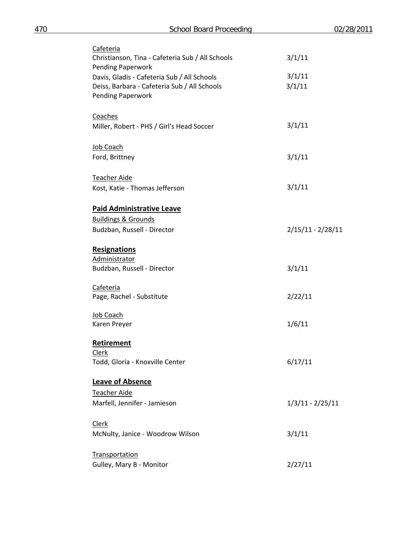| Cafeteria<br>Christianson, Tina - Cafeteria Sub / All Schools<br>Pending Paperwork | 3/1/11              |
|------------------------------------------------------------------------------------|---------------------|
| Davis, Gladis - Cafeteria Sub / All Schools                                        | 3/1/11              |
| Deiss, Barbara - Cafeteria Sub / All Schools                                       | 3/1/11              |
| <b>Pending Paperwork</b>                                                           |                     |
|                                                                                    |                     |
| Coaches                                                                            |                     |
| Miller, Robert - PHS / Girl's Head Soccer                                          | 3/1/11              |
|                                                                                    |                     |
| Job Coach                                                                          |                     |
| Ford, Brittney                                                                     | 3/1/11              |
|                                                                                    |                     |
| Teacher Aide                                                                       |                     |
| Kost, Katie - Thomas Jefferson                                                     | 3/1/11              |
|                                                                                    |                     |
| <b>Paid Administrative Leave</b>                                                   |                     |
| <b>Buildings &amp; Grounds</b>                                                     |                     |
| Budzban, Russell - Director                                                        | $2/15/11 - 2/28/11$ |
|                                                                                    |                     |
| <b>Resignations</b>                                                                |                     |
| Administrator                                                                      |                     |
| Budzban, Russell - Director                                                        | 3/1/11              |
|                                                                                    |                     |
| Cafeteria                                                                          |                     |
| Page, Rachel - Substitute                                                          | 2/22/11             |
|                                                                                    |                     |
| Job Coach                                                                          |                     |
| Karen Preyer                                                                       | 1/6/11              |
|                                                                                    |                     |
| Retirement                                                                         |                     |
| <b>Clerk</b>                                                                       |                     |
| Todd, Gloria - Knoxville Center                                                    | 6/17/11             |
|                                                                                    |                     |
| <b>Leave of Absence</b>                                                            |                     |
| <b>Teacher Aide</b>                                                                |                     |
| Marfell, Jennifer - Jamieson                                                       | $1/3/11 - 2/25/11$  |
|                                                                                    |                     |
| <b>Clerk</b>                                                                       |                     |
| McNulty, Janice - Woodrow Wilson                                                   | 3/1/11              |
|                                                                                    |                     |
| <b>Transportation</b>                                                              |                     |
| Gulley, Mary B - Monitor                                                           | 2/27/11             |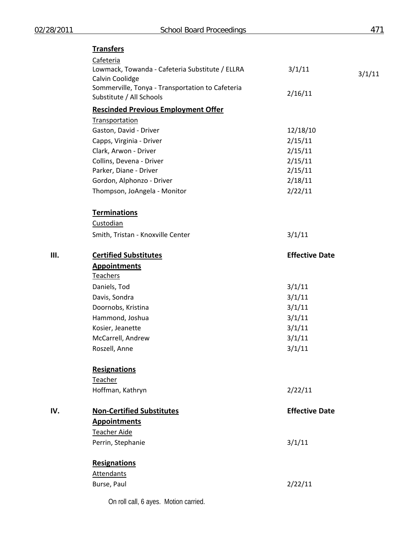# **Transfers**

|     | Cafeteria<br>Lowmack, Towanda - Cafeteria Substitute / ELLRA<br>Calvin Coolidge<br>Sommerville, Tonya - Transportation to Cafeteria<br>Substitute / All Schools | 3/1/11<br>2/16/11     | 3/1/11 |
|-----|-----------------------------------------------------------------------------------------------------------------------------------------------------------------|-----------------------|--------|
|     | <b>Rescinded Previous Employment Offer</b>                                                                                                                      |                       |        |
|     | Transportation                                                                                                                                                  |                       |        |
|     | Gaston, David - Driver                                                                                                                                          | 12/18/10              |        |
|     | Capps, Virginia - Driver                                                                                                                                        | 2/15/11               |        |
|     | Clark, Arwon - Driver                                                                                                                                           | 2/15/11               |        |
|     | Collins, Devena - Driver                                                                                                                                        | 2/15/11               |        |
|     | Parker, Diane - Driver                                                                                                                                          | 2/15/11               |        |
|     | Gordon, Alphonzo - Driver                                                                                                                                       | 2/18/11               |        |
|     | Thompson, JoAngela - Monitor                                                                                                                                    | 2/22/11               |        |
|     | <b>Terminations</b>                                                                                                                                             |                       |        |
|     | Custodian                                                                                                                                                       |                       |        |
|     | Smith, Tristan - Knoxville Center                                                                                                                               | 3/1/11                |        |
| Ш.  | <b>Certified Substitutes</b>                                                                                                                                    | <b>Effective Date</b> |        |
|     | <b>Appointments</b>                                                                                                                                             |                       |        |
|     | <b>Teachers</b>                                                                                                                                                 |                       |        |
|     | Daniels, Tod                                                                                                                                                    | 3/1/11                |        |
|     | Davis, Sondra                                                                                                                                                   | 3/1/11                |        |
|     | Doornobs, Kristina                                                                                                                                              | 3/1/11                |        |
|     | Hammond, Joshua                                                                                                                                                 | 3/1/11                |        |
|     | Kosier, Jeanette                                                                                                                                                | 3/1/11                |        |
|     | McCarrell, Andrew                                                                                                                                               | 3/1/11                |        |
|     | Roszell, Anne                                                                                                                                                   | 3/1/11                |        |
|     | <b>Resignations</b>                                                                                                                                             |                       |        |
|     | Teacher                                                                                                                                                         |                       |        |
|     | Hoffman, Kathryn                                                                                                                                                | 2/22/11               |        |
| IV. | <b>Non-Certified Substitutes</b>                                                                                                                                | <b>Effective Date</b> |        |
|     | <b>Appointments</b>                                                                                                                                             |                       |        |
|     | Teacher Aide                                                                                                                                                    |                       |        |
|     | Perrin, Stephanie                                                                                                                                               | 3/1/11                |        |
|     | <b>Resignations</b>                                                                                                                                             |                       |        |
|     | <b>Attendants</b>                                                                                                                                               |                       |        |
|     | Burse, Paul                                                                                                                                                     | 2/22/11               |        |
|     |                                                                                                                                                                 |                       |        |

On roll call, 6 ayes. Motion carried.